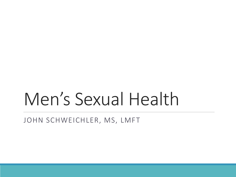# Men's Sexual Health

JOHN SCHWEICHLER, MS, LMFT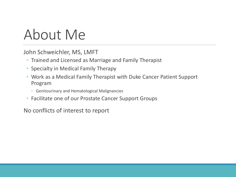### About Me

John Schweichler, MS, LMFT

- Trained and Licensed as Marriage and Family Therapist
- Specialty in Medical Family Therapy
- Work as a Medical Family Therapist with Duke Cancer Patient Support Program
	- Genitourinary and Hematological Malignancies
- Facilitate one of our Prostate Cancer Support Groups

No conflicts of interest to report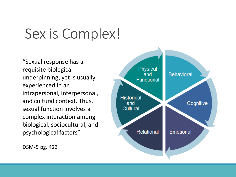### Sex is Complex!

"Sexual response has a requisite biological underpinning, yet is usually experienced in an intrapersonal, interpersonal, and cultural context. Thus, sexual function involves a complex interaction among biological, sociocultural, and psychological factors"

Physical **Behavioral** and **Functional Historical** Cognitive and Cultural **Relational** Emotional

DSM-5 pg. 423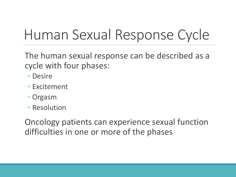## Human Sexual Response Cycle

The human sexual response can be described as a cycle with four phases:

- Desire
- Excitement
- Orgasm
- Resolution

Oncology patients can experience sexual function difficulties in one or more of the phases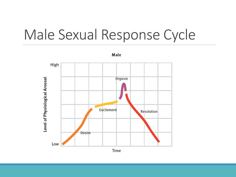#### Male Sexual Response Cycle

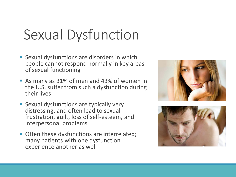## Sexual Dysfunction

- Sexual dysfunctions are disorders in which people cannot respond normally in key areas of sexual functioning
- As many as 31% of men and 43% of women in the U.S. suffer from such a dysfunction during their lives
- Sexual dysfunctions are typically very distressing, and often lead to sexual frustration, guilt, loss of self-esteem, and interpersonal problems
- **Often these dysfunctions are interrelated;** many patients with one dysfunction experience another as well



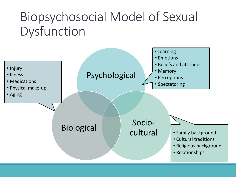#### Biopsychosocial Model of Sexual Dysfunction

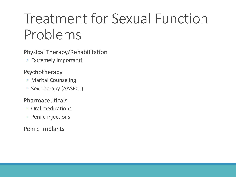## Treatment for Sexual Function Problems

Physical Therapy/Rehabilitation

◦ Extremely Important!

Psychotherapy

- Marital Counseling
- Sex Therapy (AASECT)

Pharmaceuticals

- Oral medications
- Penile injections

Penile Implants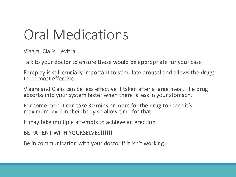## Oral Medications

Viagra, Cialis, Levitra

Talk to your doctor to ensure these would be appropriate for your case

Foreplay is still crucially important to stimulate arousal and allows the drugs to be most effective.

Viagra and Cialis can be less effective if taken after a large meal. The drug absorbs into your system faster when there is less in your stomach.

For some men it can take 30 mins or more for the drug to reach it's maximum level in their body so allow time for that

It may take multiple attempts to achieve an erection.

BE PATIENT WITH YOURSELVES!!!!!!

Be in communication with your doctor if it isn't working.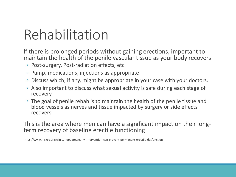## Rehabilitation

If there is prolonged periods without gaining erections, important to maintain the health of the penile vascular tissue as your body recovers

- Post-surgery, Post-radiation effects, etc.
- Pump, medications, injections as appropriate
- Discuss which, if any, might be appropriate in your case with your doctors.
- Also important to discuss what sexual activity is safe during each stage of recovery
- The goal of penile rehab is to maintain the health of the penile tissue and blood vessels as nerves and tissue impacted by surgery or side effects recovers

This is the area where men can have a significant impact on their longterm recovery of baseline erectile functioning

https://www.mskcc.org/clinical-updates/early-intervention-can-prevent-permanent-erectile-dysfunction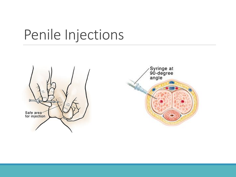#### Penile Injections



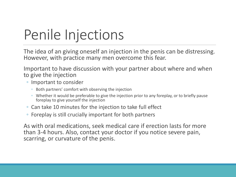## Penile Injections

The idea of an giving oneself an injection in the penis can be distressing. However, with practice many men overcome this fear.

Important to have discussion with your partner about where and when to give the injection

- Important to consider
	- Both partners' comfort with observing the injection
	- Whether it would be preferable to give the injection prior to any foreplay, or to briefly pause foreplay to give yourself the injection
- Can take 10 minutes for the injection to take full effect
- Foreplay is still crucially important for both partners

As with oral medications, seek medical care if erection lasts for more than 3-4 hours. Also, contact your doctor if you notice severe pain, scarring, or curvature of the penis.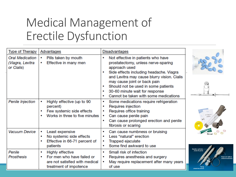#### Medical Management of Erectile Dysfunction

| <b>Type of Therapy</b>                                   | Advantages                                                                                                                  | <b>Disadvantages</b>                                                                                                                                                                                                                                                                                                                                       |                                               |
|----------------------------------------------------------|-----------------------------------------------------------------------------------------------------------------------------|------------------------------------------------------------------------------------------------------------------------------------------------------------------------------------------------------------------------------------------------------------------------------------------------------------------------------------------------------------|-----------------------------------------------|
| <b>Oral Medication</b><br>(Viagra, Levitra<br>or Cialis) | Pills taken by mouth<br>٠<br>Effective in many men<br>٠                                                                     | Not effective in patients who have<br>٠<br>prostatectomy, unless nerve-sparing<br>approach used<br>Side effects including headache. Viagra<br>and Levitra may cause blurry vision. Cialis<br>may cause joint or back pain<br>Should not be used in some patients<br>٠<br>30-60 minute wait for response<br>٠<br>Cannot be taken with some medications<br>٠ |                                               |
| <b>Penile Injection</b>                                  | Highly effective (up to 90<br>۰<br>percent)<br>Few systemic side effects<br>Works in three to five minutes<br>۰             | Some medications require refrigeration<br>۰<br>Requires injection<br>Requires office training<br>Can cause penile pain<br>٠<br>Can cause prolonged erection and penile<br>٠<br>fibrosis or scaring                                                                                                                                                         |                                               |
| Vacuum Device                                            | Least expensive<br>۰<br>No systemic side effects<br>٠<br>Effective in 66-71 percent of<br>۰<br>patients                     | Can cause numbness or bruising<br>٠<br>Less "natural" erection<br>٠<br>Trapped ejaculate<br>Some find awkward to use                                                                                                                                                                                                                                       |                                               |
| Penile<br>Prosthesis                                     | <b>Highly effective</b><br>۰<br>For men who have failed or<br>۰<br>are not satisfied with medical<br>treatment of impotence | Small risk of infection<br>٠<br>Requires anesthesia and surgery<br>May require replacement after many years<br>٠<br>of use                                                                                                                                                                                                                                 | <b>Erection cylinder</b><br>(Inside the penis |

eservoir ballo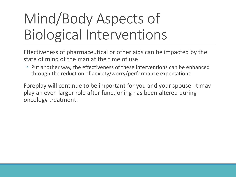## Mind/Body Aspects of Biological Interventions

Effectiveness of pharmaceutical or other aids can be impacted by the state of mind of the man at the time of use

◦ Put another way, the effectiveness of these interventions can be enhanced through the reduction of anxiety/worry/performance expectations

Foreplay will continue to be important for you and your spouse. It may play an even larger role after functioning has been altered during oncology treatment.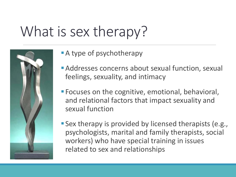## What is sex therapy?



- **A** type of psychotherapy
- **Addresses concerns about sexual function, sexual** feelings, sexuality, and intimacy
- **Focuses on the cognitive, emotional, behavioral,** and relational factors that impact sexuality and sexual function
- **Sex therapy is provided by licensed therapists (e.g.,** psychologists, marital and family therapists, social workers) who have special training in issues related to sex and relationships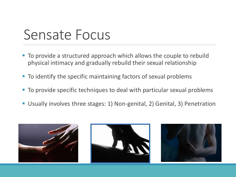#### Sensate Focus

- To provide a structured approach which allows the couple to rebuild physical intimacy and gradually rebuild their sexual relationship
- To identify the specific maintaining factors of sexual problems
- To provide specific techniques to deal with particular sexual problems
- Usually involves three stages: 1) Non-genital, 2) Genital, 3) Penetration

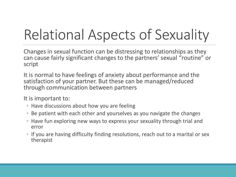# Relational Aspects of Sexuality

Changes in sexual function can be distressing to relationships as they can cause fairly significant changes to the partners' sexual "routine" or script

It is normal to have feelings of anxiety about performance and the satisfaction of your partner. But these can be managed/reduced through communication between partners

It is important to:

- Have discussions about how you are feeling
- Be patient with each other and yourselves as you navigate the changes
- Have fun exploring new ways to express your sexuality through trial and error
- If you are having difficulty finding resolutions, reach out to a marital or sex therapist